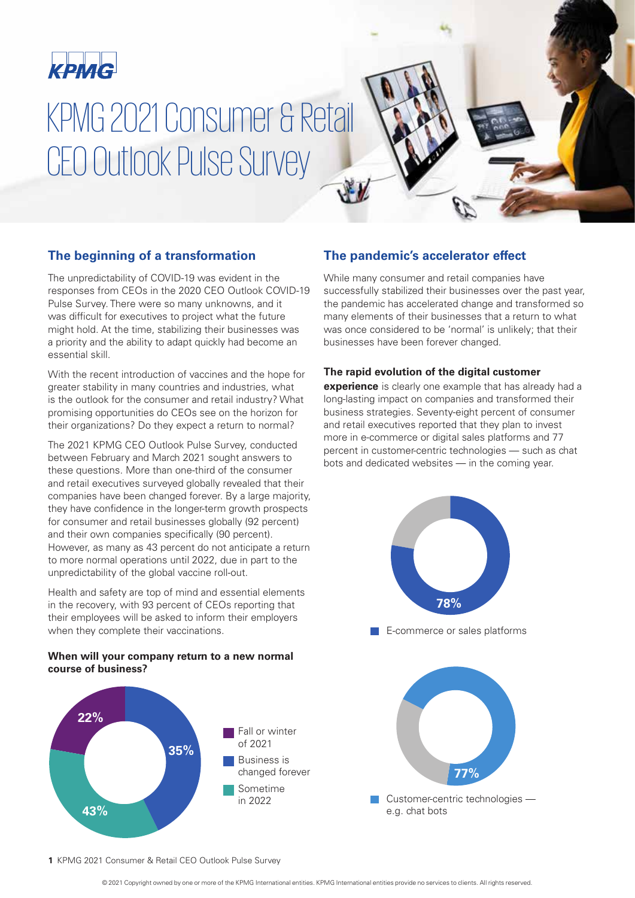

# KPMG 2021 Consumer & Retail CEO Outlook Pulse Survey

# **The beginning of a transformation**

The unpredictability of COVID-19 was evident in the responses from CEOs in the 2020 CEO Outlook COVID-19 Pulse Survey. There were so many unknowns, and it was difficult for executives to project what the future might hold. At the time, stabilizing their businesses was a priority and the ability to adapt quickly had become an essential skill.

With the recent introduction of vaccines and the hope for greater stability in many countries and industries, what is the outlook for the consumer and retail industry? What promising opportunities do CEOs see on the horizon for their organizations? Do they expect a return to normal?

The 2021 KPMG CEO Outlook Pulse Survey, conducted between February and March 2021 sought answers to these questions. More than one-third of the consumer and retail executives surveyed globally revealed that their companies have been changed forever. By a large majority, they have confidence in the longer-term growth prospects for consumer and retail businesses globally (92 percent) and their own companies specifically (90 percent). However, as many as 43 percent do not anticipate a return to more normal operations until 2022, due in part to the unpredictability of the global vaccine roll-out.

Health and safety are top of mind and essential elements in the recovery, with 93 percent of CEOs reporting that their employees will be asked to inform their employers when they complete their vaccinations.

### **When will your company return to a new normal course of business?**



# **The pandemic's accelerator effect**

While many consumer and retail companies have successfully stabilized their businesses over the past year, the pandemic has accelerated change and transformed so many elements of their businesses that a return to what was once considered to be 'normal' is unlikely; that their businesses have been forever changed.

### **The rapid evolution of the digital customer**

**experience** is clearly one example that has already had a long-lasting impact on companies and transformed their business strategies. Seventy-eight percent of consumer and retail executives reported that they plan to invest more in e-commerce or digital sales platforms and 77 percent in customer-centric technologies — such as chat bots and dedicated websites — in the coming year.



#### **1** KPMG 2021 Consumer & Retail CEO Outlook Pulse Survey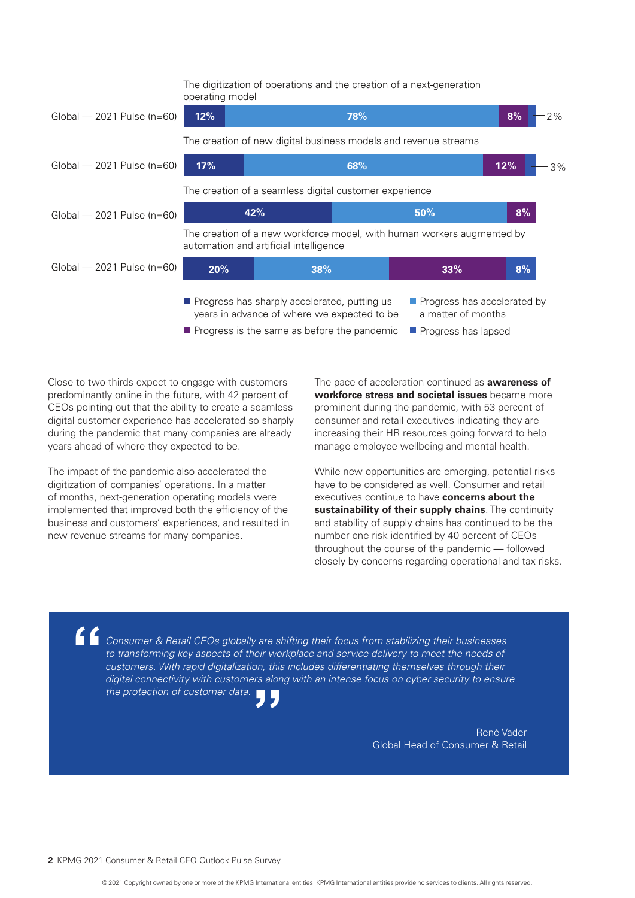$\blacksquare$  Progress has sharply accelerated, putting us **Progress has accelerated by** Global — 2021 Pulse (n=60) The digitization of operations and the creation of a next-generation operating model The creation of new digital business models and revenue streams The creation of a seamless digital customer experience The creation of a new workforce model, with human workers augmented by automation and artificial intelligence Global — 2021 Pulse (n=60) Global — 2021 Pulse (n=60) Global — 2021 Pulse (n=60) **12% 78% 8% 17% 42% 20% 38% 33% 68% 50% 8% 8% 12%**  $-3\%$  $2%$ 

- years in advance of where we expected to be
- a matter of months
- **Progress is the same as before the pandemic Progress has lapsed**

Close to two-thirds expect to engage with customers predominantly online in the future, with 42 percent of CEOs pointing out that the ability to create a seamless digital customer experience has accelerated so sharply during the pandemic that many companies are already years ahead of where they expected to be.

The impact of the pandemic also accelerated the digitization of companies' operations. In a matter of months, next-generation operating models were implemented that improved both the efficiency of the business and customers' experiences, and resulted in new revenue streams for many companies.

The pace of acceleration continued as **awareness of workforce stress and societal issues** became more prominent during the pandemic, with 53 percent of consumer and retail executives indicating they are increasing their HR resources going forward to help manage employee wellbeing and mental health.

While new opportunities are emerging, potential risks have to be considered as well. Consumer and retail executives continue to have **concerns about the sustainability of their supply chains**. The continuity and stability of supply chains has continued to be the number one risk identified by 40 percent of CEOs throughout the course of the pandemic — followed closely by concerns regarding operational and tax risks.

*Consumer & Retail CEOs globally are shifting their focus from stabilizing their businesses*  to transforming key aspects of their workplace and service delivery to meet the needs of *customers. With rapid digitalization, this includes differentiating themselves through their digital connectivity with customers along with an intense focus on cyber security to ensure the protection of customer data.* **"**

**"**

René Vader Global Head of Consumer & Retail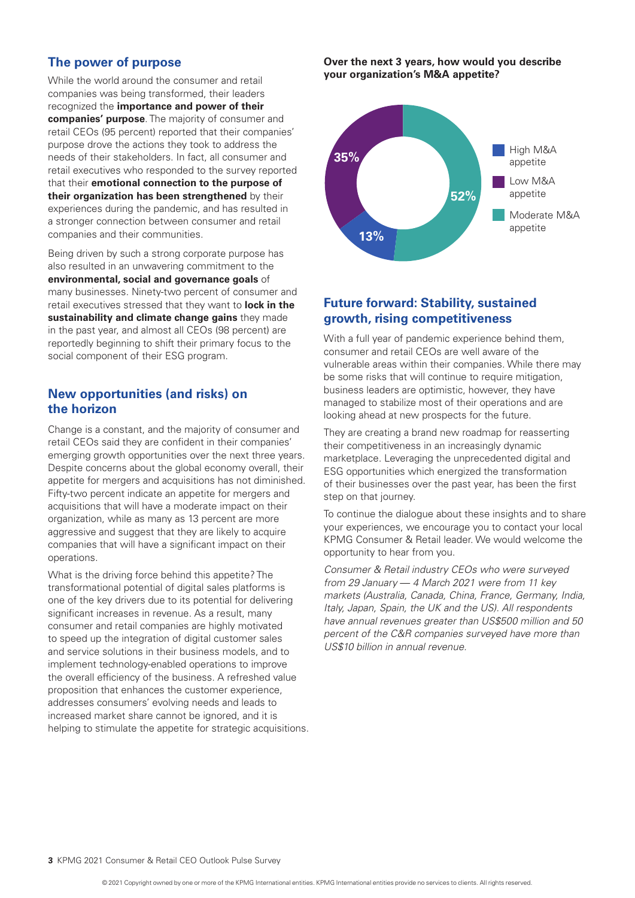# **The power of purpose**

While the world around the consumer and retail companies was being transformed, their leaders recognized the **importance and power of their companies' purpose**. The majority of consumer and retail CEOs (95 percent) reported that their companies' purpose drove the actions they took to address the needs of their stakeholders. In fact, all consumer and retail executives who responded to the survey reported that their **emotional connection to the purpose of their organization has been strengthened** by their experiences during the pandemic, and has resulted in a stronger connection between consumer and retail companies and their communities.

Being driven by such a strong corporate purpose has also resulted in an unwavering commitment to the **environmental, social and governance goals** of many businesses. Ninety-two percent of consumer and retail executives stressed that they want to **lock in the sustainability and climate change gains** they made in the past year, and almost all CEOs (98 percent) are reportedly beginning to shift their primary focus to the social component of their ESG program.

## **New opportunities (and risks) on the horizon**

Change is a constant, and the majority of consumer and retail CEOs said they are confident in their companies' emerging growth opportunities over the next three years. Despite concerns about the global economy overall, their appetite for mergers and acquisitions has not diminished. Fifty-two percent indicate an appetite for mergers and acquisitions that will have a moderate impact on their organization, while as many as 13 percent are more aggressive and suggest that they are likely to acquire companies that will have a significant impact on their operations.

What is the driving force behind this appetite? The transformational potential of digital sales platforms is one of the key drivers due to its potential for delivering significant increases in revenue. As a result, many consumer and retail companies are highly motivated to speed up the integration of digital customer sales and service solutions in their business models, and to implement technology-enabled operations to improve the overall efficiency of the business. A refreshed value proposition that enhances the customer experience, addresses consumers' evolving needs and leads to increased market share cannot be ignored, and it is helping to stimulate the appetite for strategic acquisitions. **Over the next 3 years, how would you describe your organization's M&A appetite?**



# **Future forward: Stability, sustained growth, rising competitiveness**

With a full year of pandemic experience behind them, consumer and retail CEOs are well aware of the vulnerable areas within their companies. While there may be some risks that will continue to require mitigation, business leaders are optimistic, however, they have managed to stabilize most of their operations and are looking ahead at new prospects for the future.

They are creating a brand new roadmap for reasserting their competitiveness in an increasingly dynamic marketplace. Leveraging the unprecedented digital and ESG opportunities which energized the transformation of their businesses over the past year, has been the first step on that journey.

To continue the dialogue about these insights and to share your experiences, we encourage you to contact your local KPMG Consumer & Retail leader. We would welcome the opportunity to hear from you.

*Consumer & Retail industry CEOs who were surveyed from 29 January* — *4 March 2021 were from 11 key markets (Australia, Canada, China, France, Germany, India, Italy, Japan, Spain, the UK and the US). All respondents have annual revenues greater than US\$500 million and 50 percent of the C&R companies surveyed have more than US\$10 billion in annual revenue.*